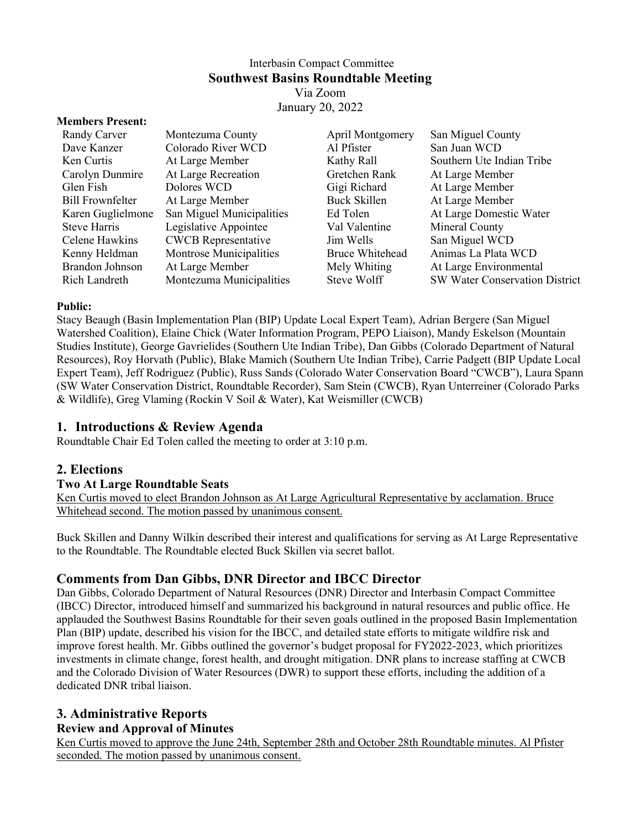# Interbasin Compact Committee **Southwest Basins Roundtable Meeting** Via Zoom

January 20, 2022

#### **Members Present:**

| <b>Randy Carver</b>     | Montezuma County           | April Montgomery       | San Miguel County              |
|-------------------------|----------------------------|------------------------|--------------------------------|
| Dave Kanzer             | Colorado River WCD         | Al Pfister             | San Juan WCD                   |
| Ken Curtis              | At Large Member            | Kathy Rall             | Southern Ute Indian Tribe      |
| Carolyn Dunmire         | At Large Recreation        | Gretchen Rank          | At Large Member                |
| Glen Fish               | Dolores WCD                | Gigi Richard           | At Large Member                |
| <b>Bill Frownfelter</b> | At Large Member            | Buck Skillen           | At Large Member                |
| Karen Guglielmone       | San Miguel Municipalities  | Ed Tolen               | At Large Domestic Water        |
| Steve Harris            | Legislative Appointee      | Val Valentine          | Mineral County                 |
| Celene Hawkins          | <b>CWCB</b> Representative | Jim Wells              | San Miguel WCD                 |
| Kenny Heldman           | Montrose Municipalities    | <b>Bruce Whitehead</b> | Animas La Plata WCD            |
| Brandon Johnson         | At Large Member            | Mely Whiting           | At Large Environmental         |
| Rich Landreth           | Montezuma Municipalities   | Steve Wolff            | SW Water Conservation District |

#### **Public:**

Stacy Beaugh (Basin Implementation Plan (BIP) Update Local Expert Team), Adrian Bergere (San Miguel Watershed Coalition), Elaine Chick (Water Information Program, PEPO Liaison), Mandy Eskelson (Mountain Studies Institute), George Gavrielides (Southern Ute Indian Tribe), Dan Gibbs (Colorado Department of Natural Resources), Roy Horvath (Public), Blake Mamich (Southern Ute Indian Tribe), Carrie Padgett (BIP Update Local Expert Team), Jeff Rodriguez (Public), Russ Sands (Colorado Water Conservation Board "CWCB"), Laura Spann (SW Water Conservation District, Roundtable Recorder), Sam Stein (CWCB), Ryan Unterreiner (Colorado Parks & Wildlife), Greg Vlaming (Rockin V Soil & Water), Kat Weismiller (CWCB)

## **1. Introductions & Review Agenda**

Roundtable Chair Ed Tolen called the meeting to order at 3:10 p.m.

## **2. Elections**

#### **Two At Large Roundtable Seats**

Ken Curtis moved to elect Brandon Johnson as At Large Agricultural Representative by acclamation. Bruce Whitehead second. The motion passed by unanimous consent.

Buck Skillen and Danny Wilkin described their interest and qualifications for serving as At Large Representative to the Roundtable. The Roundtable elected Buck Skillen via secret ballot.

## **Comments from Dan Gibbs, DNR Director and IBCC Director**

Dan Gibbs, Colorado Department of Natural Resources (DNR) Director and Interbasin Compact Committee (IBCC) Director, introduced himself and summarized his background in natural resources and public office. He applauded the Southwest Basins Roundtable for their seven goals outlined in the proposed Basin Implementation Plan (BIP) update, described his vision for the IBCC, and detailed state efforts to mitigate wildfire risk and improve forest health. Mr. Gibbs outlined the governor's budget proposal for FY2022-2023, which prioritizes investments in climate change, forest health, and drought mitigation. DNR plans to increase staffing at CWCB and the Colorado Division of Water Resources (DWR) to support these efforts, including the addition of a dedicated DNR tribal liaison.

## **3. Administrative Reports**

#### **Review and Approval of Minutes**

Ken Curtis moved to approve the June 24th, September 28th and October 28th Roundtable minutes. Al Pfister seconded. The motion passed by unanimous consent.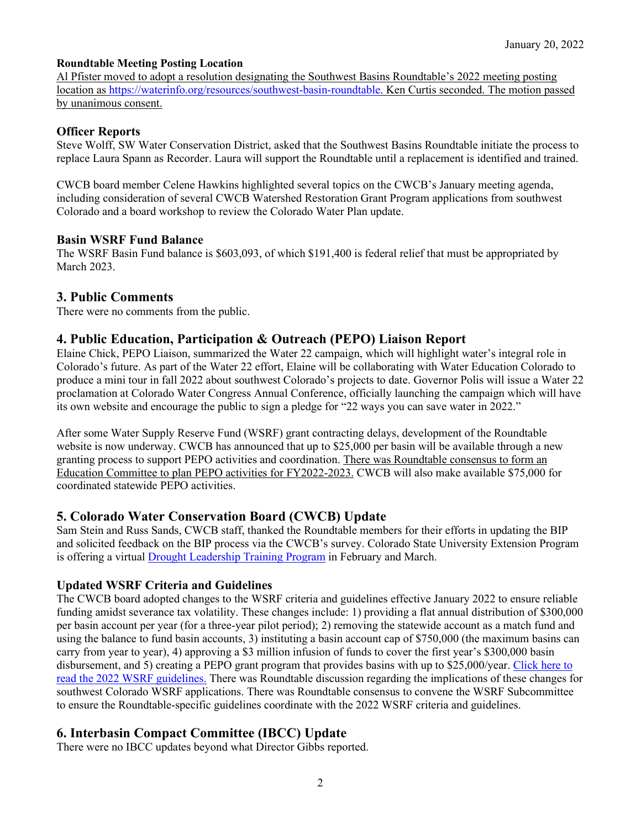### **Roundtable Meeting Posting Location**

Al Pfister moved to adopt a resolution designating the Southwest Basins Roundtable's 2022 meeting posting location as [https://waterinfo.org/resources/southwest-basin-roundtable.](https://waterinfo.org/resources/southwest-basin-roundtable/) Ken Curtis seconded. The motion passed by unanimous consent.

## **Officer Reports**

Steve Wolff, SW Water Conservation District, asked that the Southwest Basins Roundtable initiate the process to replace Laura Spann as Recorder. Laura will support the Roundtable until a replacement is identified and trained.

CWCB board member Celene Hawkins highlighted several topics on the CWCB's January meeting agenda, including consideration of several CWCB Watershed Restoration Grant Program applications from southwest Colorado and a board workshop to review the Colorado Water Plan update.

### **Basin WSRF Fund Balance**

The WSRF Basin Fund balance is \$603,093, of which \$191,400 is federal relief that must be appropriated by March 2023.

### **3. Public Comments**

There were no comments from the public.

## **4. Public Education, Participation & Outreach (PEPO) Liaison Report**

Elaine Chick, PEPO Liaison, summarized the Water 22 campaign, which will highlight water's integral role in Colorado's future. As part of the Water 22 effort, Elaine will be collaborating with Water Education Colorado to produce a mini tour in fall 2022 about southwest Colorado's projects to date. Governor Polis will issue a Water 22 proclamation at Colorado Water Congress Annual Conference, officially launching the campaign which will have its own website and encourage the public to sign a pledge for "22 ways you can save water in 2022."

After some Water Supply Reserve Fund (WSRF) grant contracting delays, development of the Roundtable website is now underway. CWCB has announced that up to \$25,000 per basin will be available through a new granting process to support PEPO activities and coordination. There was Roundtable consensus to form an Education Committee to plan PEPO activities for FY2022-2023. CWCB will also make available \$75,000 for coordinated statewide PEPO activities.

## **5. Colorado Water Conservation Board (CWCB) Update**

Sam Stein and Russ Sands, CWCB staff, thanked the Roundtable members for their efforts in updating the BIP and solicited feedback on the BIP process via the CWCB's survey. Colorado State University Extension Program is offering a virtual [Drought Leadership Training Program](https://drought.extension.colostate.edu/drought-leadership-training/) in February and March.

## **Updated WSRF Criteria and Guidelines**

The CWCB board adopted changes to the WSRF criteria and guidelines effective January 2022 to ensure reliable funding amidst severance tax volatility. These changes include: 1) providing a flat annual distribution of \$300,000 per basin account per year (for a three-year pilot period); 2) removing the statewide account as a match fund and using the balance to fund basin accounts, 3) instituting a basin account cap of \$750,000 (the maximum basins can carry from year to year), 4) approving a \$3 million infusion of funds to cover the first year's \$300,000 basin disbursement, and 5) creating a PEPO grant program that provides basins with up to \$25,000/year. Click here to [read the 2022 WSRF guidelines.](https://dnrweblink.state.co.us/CWCB/0/edoc/215814/WSRF%20CRITERIA_GUIDELINES-%20Effective%20Jan%201%202022.pdf) There was Roundtable discussion regarding the implications of these changes for southwest Colorado WSRF applications. There was Roundtable consensus to convene the WSRF Subcommittee to ensure the Roundtable-specific guidelines coordinate with the 2022 WSRF criteria and guidelines.

# **6. Interbasin Compact Committee (IBCC) Update**

There were no IBCC updates beyond what Director Gibbs reported.